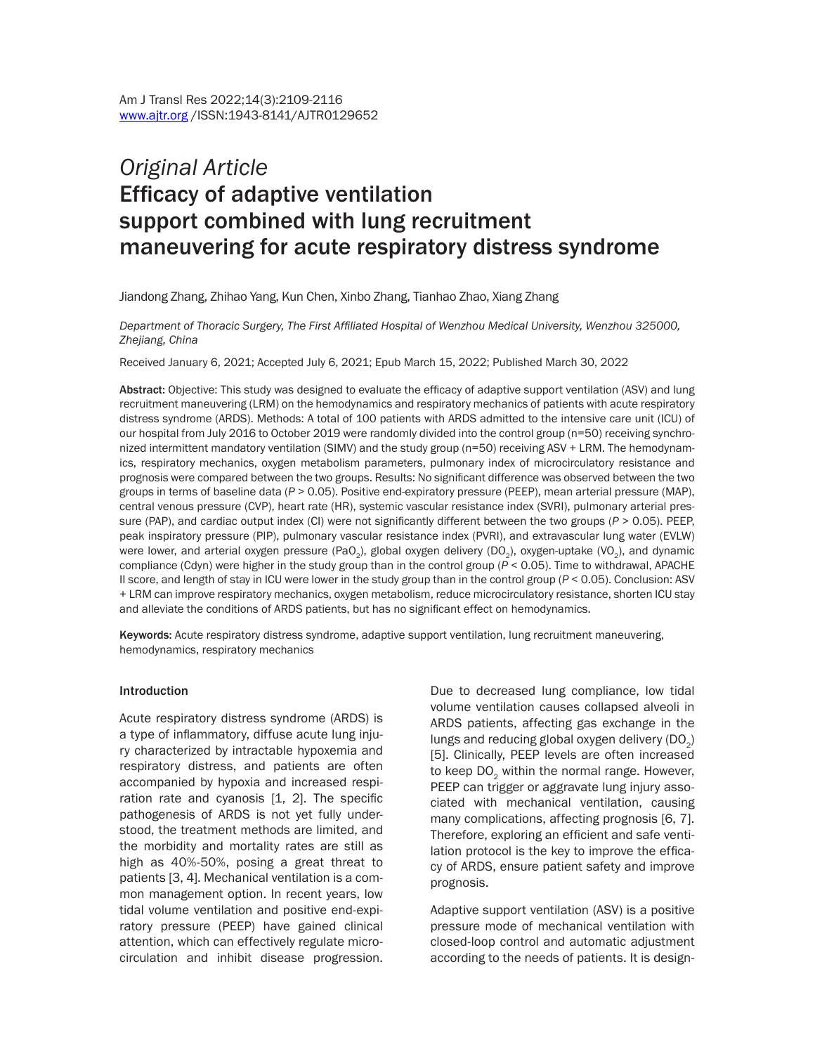# *Original Article* Efficacy of adaptive ventilation support combined with lung recruitment maneuvering for acute respiratory distress syndrome

Jiandong Zhang, Zhihao Yang, Kun Chen, Xinbo Zhang, Tianhao Zhao, Xiang Zhang

*Department of Thoracic Surgery, The First Affiliated Hospital of Wenzhou Medical University, Wenzhou 325000, Zhejiang, China*

Received January 6, 2021; Accepted July 6, 2021; Epub March 15, 2022; Published March 30, 2022

Abstract: Objective: This study was designed to evaluate the efficacy of adaptive support ventilation (ASV) and lung recruitment maneuvering (LRM) on the hemodynamics and respiratory mechanics of patients with acute respiratory distress syndrome (ARDS). Methods: A total of 100 patients with ARDS admitted to the intensive care unit (ICU) of our hospital from July 2016 to October 2019 were randomly divided into the control group (n=50) receiving synchronized intermittent mandatory ventilation (SIMV) and the study group (n=50) receiving ASV + LRM. The hemodynamics, respiratory mechanics, oxygen metabolism parameters, pulmonary index of microcirculatory resistance and prognosis were compared between the two groups. Results: No significant difference was observed between the two groups in terms of baseline data (*P* > 0.05). Positive end-expiratory pressure (PEEP), mean arterial pressure (MAP), central venous pressure (CVP), heart rate (HR), systemic vascular resistance index (SVRI), pulmonary arterial pressure (PAP), and cardiac output index (CI) were not significantly different between the two groups (*P* > 0.05). PEEP, peak inspiratory pressure (PIP), pulmonary vascular resistance index (PVRI), and extravascular lung water (EVLW) were lower, and arterial oxygen pressure (PaO<sub>2</sub>), global oxygen delivery (DO<sub>3</sub>), oxygen-uptake (VO<sub>3</sub>), and dynamic compliance (Cdyn) were higher in the study group than in the control group (*P* < 0.05). Time to withdrawal, APACHE II score, and length of stay in ICU were lower in the study group than in the control group (*P* < 0.05). Conclusion: ASV + LRM can improve respiratory mechanics, oxygen metabolism, reduce microcirculatory resistance, shorten ICU stay and alleviate the conditions of ARDS patients, but has no significant effect on hemodynamics.

Keywords: Acute respiratory distress syndrome, adaptive support ventilation, lung recruitment maneuvering, hemodynamics, respiratory mechanics

#### **Introduction**

Acute respiratory distress syndrome (ARDS) is a type of inflammatory, diffuse acute lung injury characterized by intractable hypoxemia and respiratory distress, and patients are often accompanied by hypoxia and increased respiration rate and cyanosis [1, 2]. The specific pathogenesis of ARDS is not yet fully understood, the treatment methods are limited, and the morbidity and mortality rates are still as high as 40%-50%, posing a great threat to patients [3, 4]. Mechanical ventilation is a common management option. In recent years, low tidal volume ventilation and positive end-expiratory pressure (PEEP) have gained clinical attention, which can effectively regulate microcirculation and inhibit disease progression.

Due to decreased lung compliance, low tidal volume ventilation causes collapsed alveoli in ARDS patients, affecting gas exchange in the lungs and reducing global oxygen delivery  $(DO<sub>2</sub>)$ [5]. Clinically, PEEP levels are often increased to keep DO<sub>2</sub> within the normal range. However, PEEP can trigger or aggravate lung injury associated with mechanical ventilation, causing many complications, affecting prognosis [6, 7]. Therefore, exploring an efficient and safe ventilation protocol is the key to improve the efficacy of ARDS, ensure patient safety and improve prognosis.

Adaptive support ventilation (ASV) is a positive pressure mode of mechanical ventilation with closed-loop control and automatic adjustment according to the needs of patients. It is design-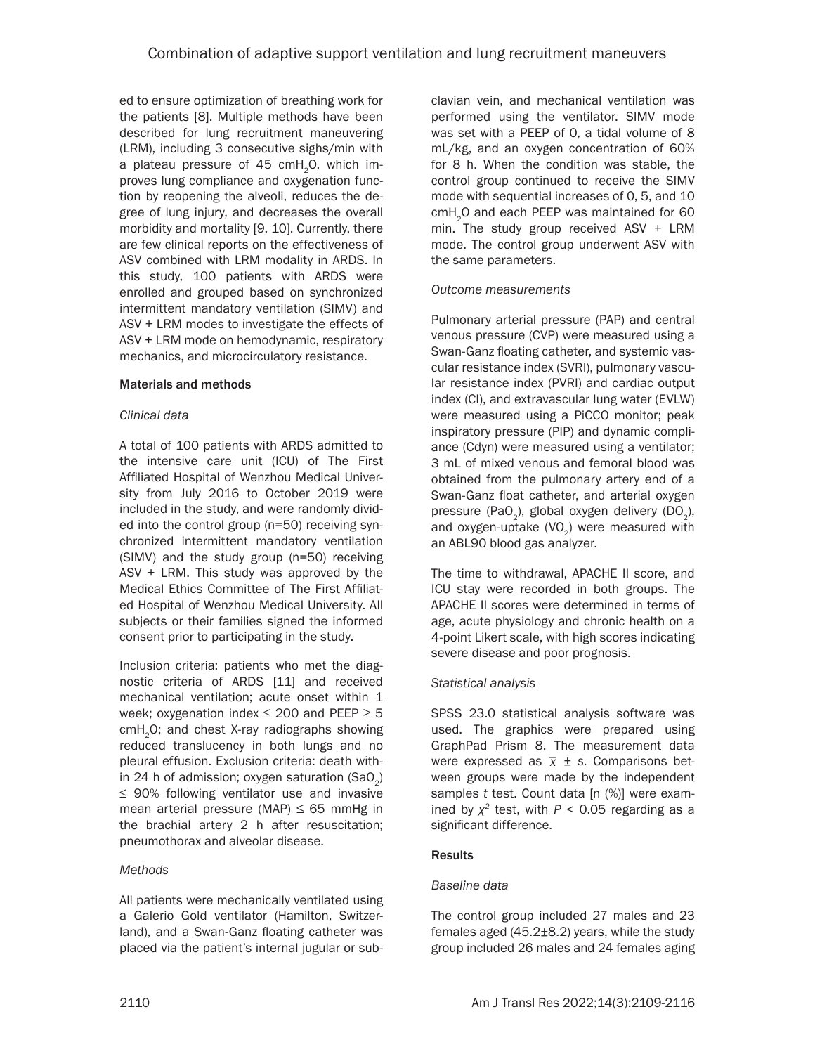ed to ensure optimization of breathing work for the patients [8]. Multiple methods have been described for lung recruitment maneuvering (LRM), including 3 consecutive sighs/min with a plateau pressure of 45 cmH<sub>2</sub>O, which improves lung compliance and oxygenation function by reopening the alveoli, reduces the degree of lung injury, and decreases the overall morbidity and mortality [9, 10]. Currently, there are few clinical reports on the effectiveness of ASV combined with LRM modality in ARDS. In this study, 100 patients with ARDS were enrolled and grouped based on synchronized intermittent mandatory ventilation (SIMV) and ASV + LRM modes to investigate the effects of ASV + LRM mode on hemodynamic, respiratory mechanics, and microcirculatory resistance.

### Materials and methods

### *Clinical data*

A total of 100 patients with ARDS admitted to the intensive care unit (ICU) of The First Affiliated Hospital of Wenzhou Medical University from July 2016 to October 2019 were included in the study, and were randomly divided into the control group (n=50) receiving synchronized intermittent mandatory ventilation (SIMV) and the study group (n=50) receiving ASV + LRM. This study was approved by the Medical Ethics Committee of The First Affiliated Hospital of Wenzhou Medical University. All subjects or their families signed the informed consent prior to participating in the study.

Inclusion criteria: patients who met the diagnostic criteria of ARDS [11] and received mechanical ventilation; acute onset within 1 week; oxygenation index  $\leq$  200 and PEEP  $\geq$  5 cmH<sub>2</sub>O; and chest X-ray radiographs showing reduced translucency in both lungs and no pleural effusion. Exclusion criteria: death within 24 h of admission; oxygen saturation  $(SaO<sub>2</sub>)$ ≤ 90% following ventilator use and invasive mean arterial pressure (MAP)  $\leq 65$  mmHg in the brachial artery 2 h after resuscitation; pneumothorax and alveolar disease.

# *Methods*

All patients were mechanically ventilated using a Galerio Gold ventilator (Hamilton, Switzerland), and a Swan-Ganz floating catheter was placed via the patient's internal jugular or subclavian vein, and mechanical ventilation was performed using the ventilator. SIMV mode was set with a PEEP of 0, a tidal volume of 8 mL/kg, and an oxygen concentration of 60% for 8 h. When the condition was stable, the control group continued to receive the SIMV mode with sequential increases of 0, 5, and 10 cmH<sub>2</sub>O and each PEEP was maintained for 60 min. The study group received ASV + LRM mode. The control group underwent ASV with the same parameters.

### *Outcome measurements*

Pulmonary arterial pressure (PAP) and central venous pressure (CVP) were measured using a Swan-Ganz floating catheter, and systemic vascular resistance index (SVRI), pulmonary vascular resistance index (PVRI) and cardiac output index (CI), and extravascular lung water (EVLW) were measured using a PiCCO monitor; peak inspiratory pressure (PIP) and dynamic compliance (Cdyn) were measured using a ventilator; 3 mL of mixed venous and femoral blood was obtained from the pulmonary artery end of a Swan-Ganz float catheter, and arterial oxygen pressure (PaO<sub>2</sub>), global oxygen delivery (DO<sub>2</sub>), and oxygen-uptake  $(VO<sub>2</sub>)$  were measured with an ABL90 blood gas analyzer.

The time to withdrawal, APACHE II score, and ICU stay were recorded in both groups. The APACHE II scores were determined in terms of age, acute physiology and chronic health on a 4-point Likert scale, with high scores indicating severe disease and poor prognosis.

# *Statistical analysis*

SPSS 23.0 statistical analysis software was used. The graphics were prepared using GraphPad Prism 8. The measurement data were expressed as *\_ x* ± *s*. Comparisons between groups were made by the independent samples *t* test. Count data [n (%)] were examined by  $\chi^2$  test, with  $P < 0.05$  regarding as a significant difference.

# **Results**

# *Baseline data*

The control group included 27 males and 23 females aged (45.2±8.2) years, while the study group included 26 males and 24 females aging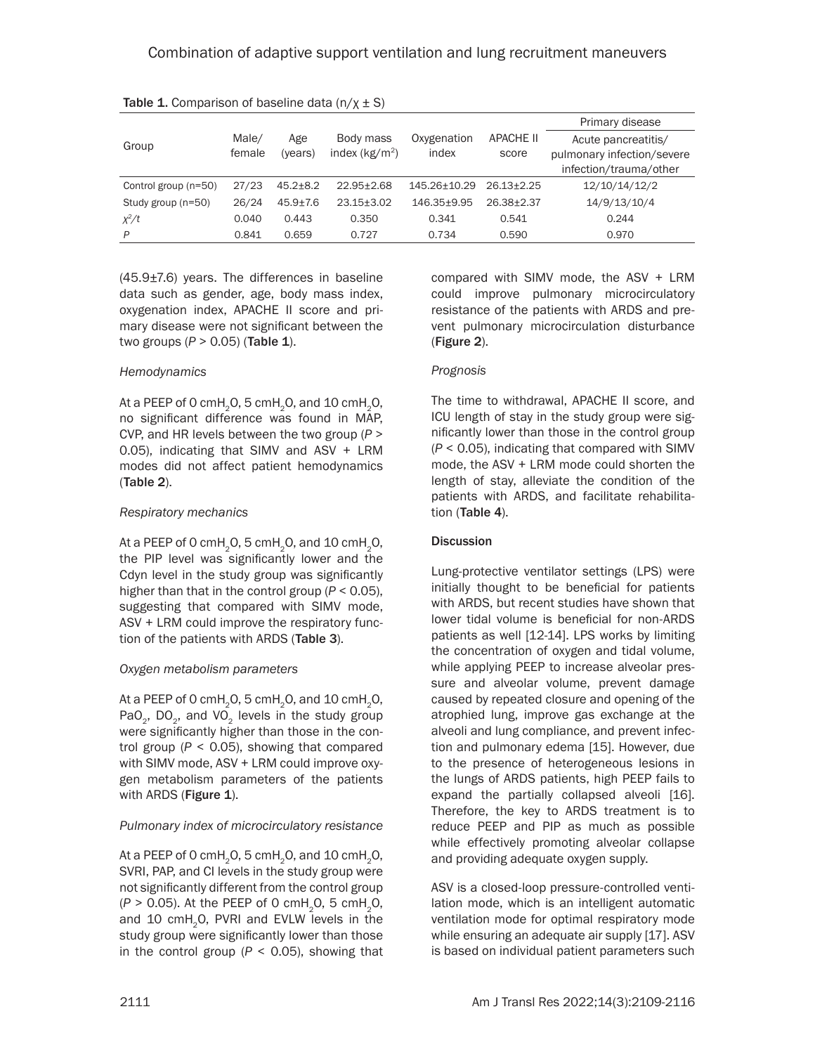|                      |        |                |                  |              |                  | Primary disease            |  |  |
|----------------------|--------|----------------|------------------|--------------|------------------|----------------------------|--|--|
| Group                | Male/  | Age            | Body mass        | Oxygenation  | <b>APACHE II</b> | Acute pancreatitis/        |  |  |
|                      | female | (years)        | index $(kg/m2)$  | index        | score            | pulmonary infection/severe |  |  |
|                      |        |                |                  |              |                  | infection/trauma/other     |  |  |
| Control group (n=50) | 27/23  | $45.2 + 8.2$   | $22.95 \pm 2.68$ | 145.26±10.29 | $26.13 + 2.25$   | 12/10/14/12/2              |  |  |
| Study group (n=50)   | 26/24  | $45.9 \pm 7.6$ | $23.15 + 3.02$   | 146.35+9.95  | 26.38+2.37       | 14/9/13/10/4               |  |  |
| $x^2/t$              | 0.040  | 0.443          | 0.350            | 0.341        | 0.541            | 0.244                      |  |  |
| P                    | 0.841  | 0.659          | 0.727            | 0.734        | 0.590            | 0.970                      |  |  |

|  |  |  | <b>Table 1.</b> Comparison of baseline data $(n/\chi \pm S)$ |
|--|--|--|--------------------------------------------------------------|
|--|--|--|--------------------------------------------------------------|

(45.9±7.6) years. The differences in baseline data such as gender, age, body mass index, oxygenation index, APACHE II score and primary disease were not significant between the two groups (*P* > 0.05) (Table 1).

### *Hemodynamics*

At a PEEP of 0 cmH<sub>2</sub>O, 5 cmH<sub>2</sub>O, and 10 cmH<sub>2</sub>O, no significant difference was found in MAP, CVP, and HR levels between the two group (*P* > 0.05), indicating that SIMV and ASV + LRM modes did not affect patient hemodynamics (Table 2).

### *Respiratory mechanics*

At a PEEP of 0 cmH<sub>2</sub>O, 5 cmH<sub>2</sub>O, and 10 cmH<sub>2</sub>O, the PIP level was significantly lower and the Cdyn level in the study group was significantly higher than that in the control group (*P* < 0.05), suggesting that compared with SIMV mode, ASV + LRM could improve the respiratory function of the patients with ARDS (Table 3).

# *Oxygen metabolism parameters*

At a PEEP of 0 cmH<sub>2</sub>O, 5 cmH<sub>2</sub>O, and 10 cmH<sub>2</sub>O, PaO<sub>2</sub>, DO<sub>2</sub>, and VO<sub>2</sub> levels in the study group were significantly higher than those in the control group (*P* < 0.05), showing that compared with SIMV mode, ASV + LRM could improve oxygen metabolism parameters of the patients with ARDS (Figure 1).

# *Pulmonary index of microcirculatory resistance*

At a PEEP of 0 cmH<sub>2</sub>O, 5 cmH<sub>2</sub>O, and 10 cmH<sub>2</sub>O, SVRI, PAP, and CI levels in the study group were not significantly different from the control group  $(P > 0.05)$ . At the PEEP of 0 cmH<sub>2</sub>O, 5 cmH<sub>2</sub>O, and 10 cmH<sub>2</sub>O, PVRI and EVLW levels in the study group were significantly lower than those in the control group  $(P < 0.05)$ , showing that compared with SIMV mode, the ASV + LRM could improve pulmonary microcirculatory resistance of the patients with ARDS and prevent pulmonary microcirculation disturbance (Figure 2).

### *Prognosis*

The time to withdrawal, APACHE II score, and ICU length of stay in the study group were significantly lower than those in the control group (*P* < 0.05), indicating that compared with SIMV mode, the ASV + LRM mode could shorten the length of stay, alleviate the condition of the patients with ARDS, and facilitate rehabilitation (Table 4).

# **Discussion**

Lung-protective ventilator settings (LPS) were initially thought to be beneficial for patients with ARDS, but recent studies have shown that lower tidal volume is beneficial for non-ARDS patients as well [12-14]. LPS works by limiting the concentration of oxygen and tidal volume, while applying PEEP to increase alveolar pressure and alveolar volume, prevent damage caused by repeated closure and opening of the atrophied lung, improve gas exchange at the alveoli and lung compliance, and prevent infection and pulmonary edema [15]. However, due to the presence of heterogeneous lesions in the lungs of ARDS patients, high PEEP fails to expand the partially collapsed alveoli [16]. Therefore, the key to ARDS treatment is to reduce PEEP and PIP as much as possible while effectively promoting alveolar collapse and providing adequate oxygen supply.

ASV is a closed-loop pressure-controlled ventilation mode, which is an intelligent automatic ventilation mode for optimal respiratory mode while ensuring an adequate air supply [17]. ASV is based on individual patient parameters such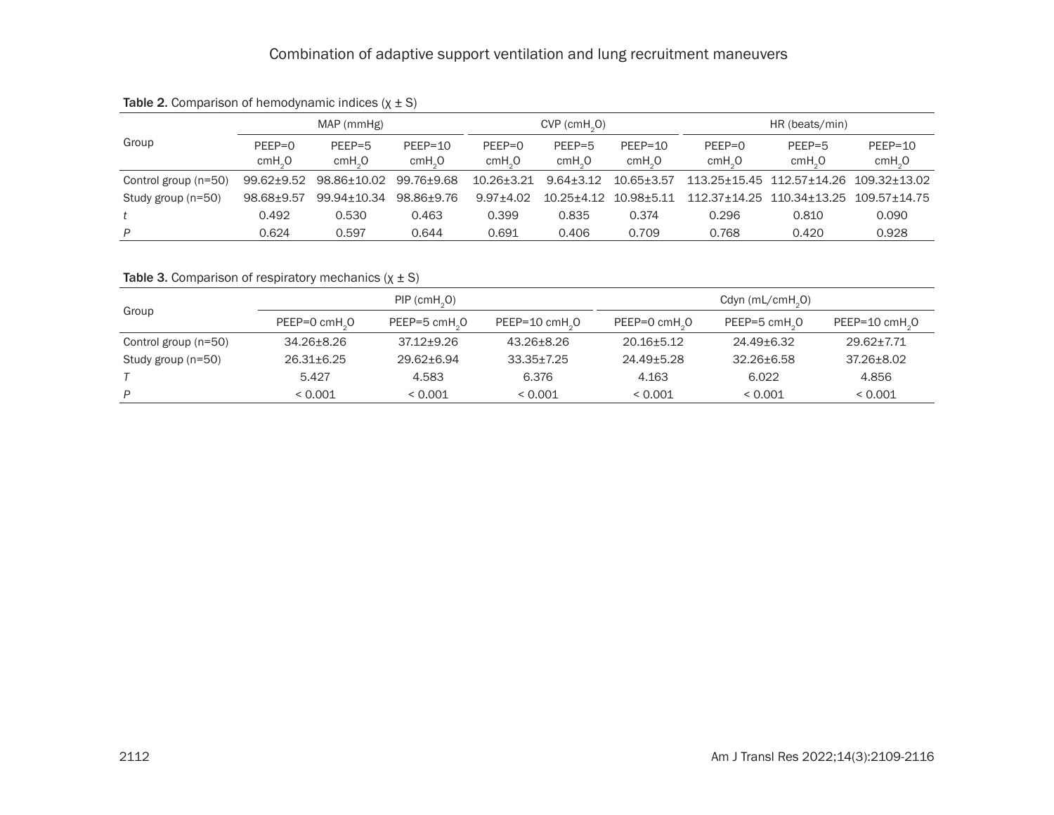|                      | MAP (mmHg)                     |                                |                                 | $CVP$ (cmH <sub>2</sub> O)     |                              |                                 | HR (beats/min)               |                                        |                                 |
|----------------------|--------------------------------|--------------------------------|---------------------------------|--------------------------------|------------------------------|---------------------------------|------------------------------|----------------------------------------|---------------------------------|
| Group                | $PFFP=0$<br>cmH <sub>2</sub> O | $PEEP=5$<br>cmH <sub>2</sub> O | $PEEP=10$<br>cmH <sub>2</sub> O | $PEEP=0$<br>cmH <sub>2</sub> O | $PFFP=5$<br>cmH <sub>0</sub> | $PEEP=10$<br>cmH <sub>2</sub> O | $PEEP=0$<br>cmH <sub>0</sub> | $PEEP=5$<br>cmH <sub>0</sub>           | $PEEP=10$<br>cmH <sub>2</sub> O |
| Control group (n=50) | 99.62±9.52                     | 98.86±10.02                    | 99.76±9.68                      | $10.26 + 3.21$                 | $9.64 + 3.12$                | 10.65+3.57                      |                              | 113.25+15.45 112.57+14.26 109.32+13.02 |                                 |
| Study group (n=50)   | 98.68+9.57                     | 99.94±10.34                    | 98.86+9.76                      | 9.97+4.02                      | 10.25+4.12 10.98+5.11        |                                 |                              | 112.37+14.25 110.34+13.25 109.57+14.75 |                                 |
|                      | 0.492                          | 0.530                          | 0.463                           | 0.399                          | 0.835                        | 0.374                           | 0.296                        | 0.810                                  | 0.090                           |
| P                    | 0.624                          | 0.597                          | 0.644                           | 0.691                          | 0.406                        | 0.709                           | 0.768                        | 0.420                                  | 0.928                           |

# Table 2. Comparison of hemodynamic indices  $(x \pm S)$

# Table 3. Comparison of respiratory mechanics  $(x \pm S)$

| Group                |                           | $PIP$ (cmH <sub>2</sub> O) |                | Cdyn (mL/cm $H2$ O) |                |                          |  |
|----------------------|---------------------------|----------------------------|----------------|---------------------|----------------|--------------------------|--|
|                      | PEEP=0 cmH <sub>2</sub> 0 | PEEP=5 cmH.O               | PEEP=10 cmH.O  | PEEP=0 cmH.O        | PEEP=5 cmH.O   | $PEEP=10 \text{ cmH}_2O$ |  |
| Control group (n=50) | $34.26 + 8.26$            | $37.12 + 9.26$             | 43.26+8.26     | $20.16 + 5.12$      | 24.49+6.32     | 29.62+7.71               |  |
| Study group (n=50)   | $26.31 \pm 6.25$          | 29.62+6.94                 | $33.35 + 7.25$ | 24.49+5.28          | $32.26 + 6.58$ | $37.26 + 8.02$           |  |
|                      | 5.427                     | 4.583                      | 6.376          | 4.163               | 6.022          | 4.856                    |  |
| P                    | < 0.001                   | < 0.001                    | < 0.001        | < 0.001             | < 0.001        | ${}_{0.001}$             |  |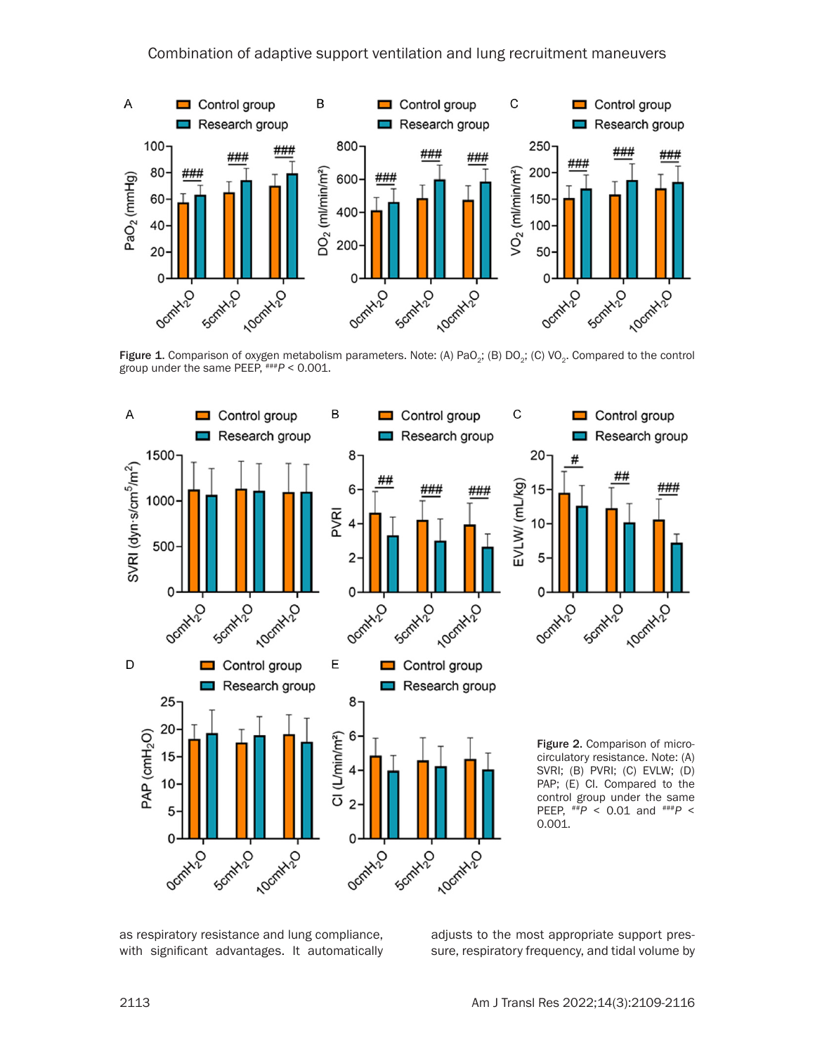

Figure 1. Comparison of oxygen metabolism parameters. Note: (A) PaO<sub>2</sub>; (B) DO<sub>2</sub>; (C) VO<sub>2</sub>. Compared to the control group under the same PEEP, ###*P* < 0.001.



as respiratory resistance and lung compliance, with significant advantages. It automatically

adjusts to the most appropriate support pressure, respiratory frequency, and tidal volume by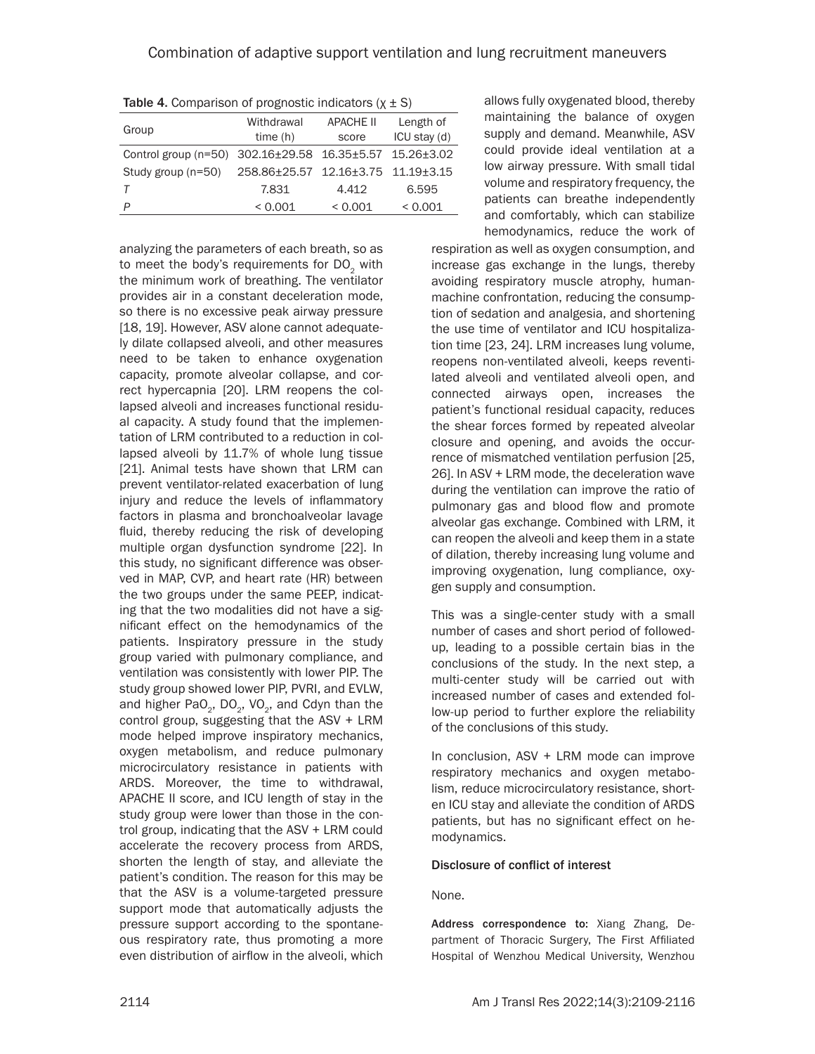**Table 4.** Comparison of prognostic indicators  $(x \pm S)$ 

| Group                                                    | Withdrawal<br>time(h)              | <b>APACHE II</b><br>score | Length of<br>ICU stay (d) |  |
|----------------------------------------------------------|------------------------------------|---------------------------|---------------------------|--|
| Control group (n=50) $302.16 \pm 29.58$ 16.35 $\pm$ 5.57 |                                    |                           | $15.26 \pm 3.02$          |  |
|                                                          |                                    |                           |                           |  |
| Study group (n=50)                                       | 258.86±25.57 12.16±3.75 11.19±3.15 |                           |                           |  |
|                                                          | 7.831                              | 4.412                     | 6.595                     |  |
| P                                                        | < 0.001                            | < 0.001                   | < 0.001                   |  |

analyzing the parameters of each breath, so as to meet the body's requirements for DO<sub>2</sub> with the minimum work of breathing. The ventilator provides air in a constant deceleration mode, so there is no excessive peak airway pressure [18, 19]. However, ASV alone cannot adequately dilate collapsed alveoli, and other measures need to be taken to enhance oxygenation capacity, promote alveolar collapse, and correct hypercapnia [20]. LRM reopens the collapsed alveoli and increases functional residual capacity. A study found that the implementation of LRM contributed to a reduction in collapsed alveoli by 11.7% of whole lung tissue [21]. Animal tests have shown that LRM can prevent ventilator-related exacerbation of lung injury and reduce the levels of inflammatory factors in plasma and bronchoalveolar lavage fluid, thereby reducing the risk of developing multiple organ dysfunction syndrome [22]. In this study, no significant difference was observed in MAP, CVP, and heart rate (HR) between the two groups under the same PEEP, indicating that the two modalities did not have a significant effect on the hemodynamics of the patients. Inspiratory pressure in the study group varied with pulmonary compliance, and ventilation was consistently with lower PIP. The study group showed lower PIP, PVRI, and EVLW, and higher PaO<sub>2</sub>, DO<sub>2</sub>, VO<sub>2</sub>, and Cdyn than the control group, suggesting that the ASV + LRM mode helped improve inspiratory mechanics, oxygen metabolism, and reduce pulmonary microcirculatory resistance in patients with ARDS. Moreover, the time to withdrawal, APACHE II score, and ICU length of stay in the study group were lower than those in the control group, indicating that the ASV + LRM could accelerate the recovery process from ARDS, shorten the length of stay, and alleviate the patient's condition. The reason for this may be that the ASV is a volume-targeted pressure support mode that automatically adjusts the pressure support according to the spontaneous respiratory rate, thus promoting a more even distribution of airflow in the alveoli, which

allows fully oxygenated blood, thereby maintaining the balance of oxygen supply and demand. Meanwhile, ASV could provide ideal ventilation at a low airway pressure. With small tidal volume and respiratory frequency, the patients can breathe independently and comfortably, which can stabilize hemodynamics, reduce the work of

respiration as well as oxygen consumption, and increase gas exchange in the lungs, thereby avoiding respiratory muscle atrophy, humanmachine confrontation, reducing the consumption of sedation and analgesia, and shortening the use time of ventilator and ICU hospitalization time [23, 24]. LRM increases lung volume, reopens non-ventilated alveoli, keeps reventilated alveoli and ventilated alveoli open, and connected airways open, increases the patient's functional residual capacity, reduces the shear forces formed by repeated alveolar closure and opening, and avoids the occurrence of mismatched ventilation perfusion [25, 26]. In ASV + LRM mode, the deceleration wave during the ventilation can improve the ratio of pulmonary gas and blood flow and promote alveolar gas exchange. Combined with LRM, it can reopen the alveoli and keep them in a state of dilation, thereby increasing lung volume and improving oxygenation, lung compliance, oxygen supply and consumption.

This was a single-center study with a small number of cases and short period of followedup, leading to a possible certain bias in the conclusions of the study. In the next step, a multi-center study will be carried out with increased number of cases and extended follow-up period to further explore the reliability of the conclusions of this study.

In conclusion, ASV + LRM mode can improve respiratory mechanics and oxygen metabolism, reduce microcirculatory resistance, shorten ICU stay and alleviate the condition of ARDS patients, but has no significant effect on hemodynamics.

#### Disclosure of conflict of interest

# None.

Address correspondence to: Xiang Zhang, Department of Thoracic Surgery, The First Affiliated Hospital of Wenzhou Medical University, Wenzhou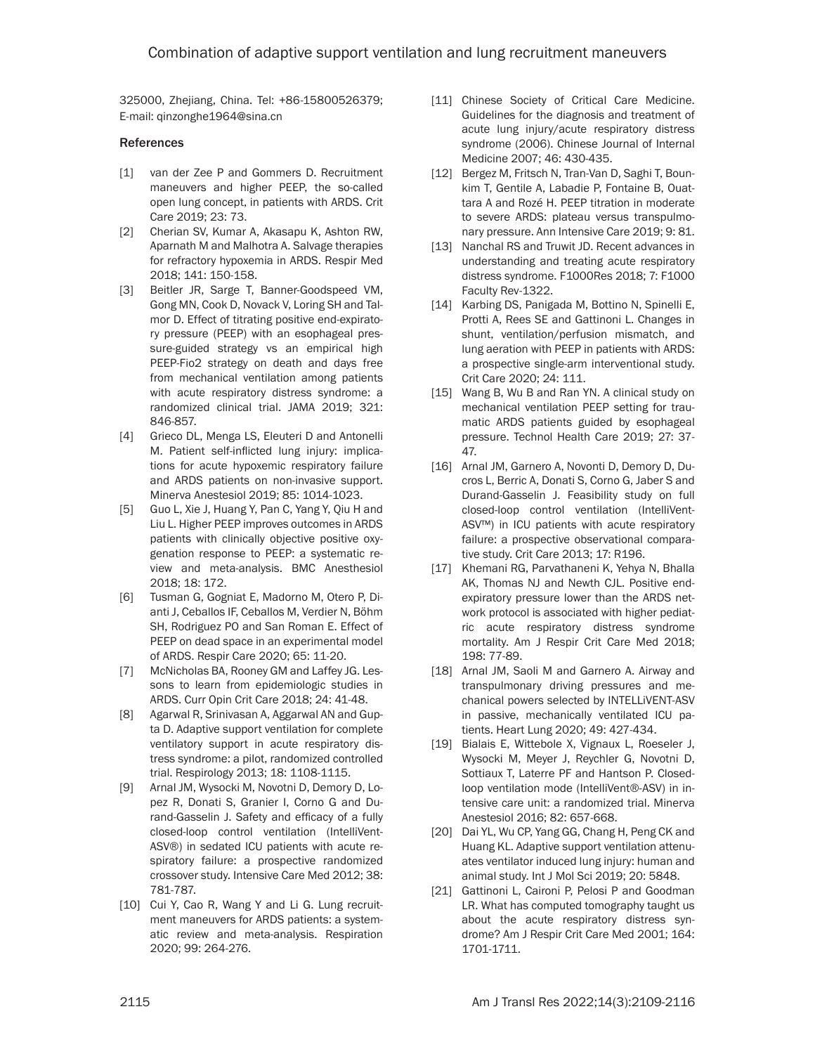325000, Zhejiang, China. Tel: +86-15800526379; E-mail: [qinzonghe1964@sina.cn](mailto:qinzonghe1964@sina.cn)

#### References

- [1] van der Zee P and Gommers D. Recruitment maneuvers and higher PEEP, the so-called open lung concept, in patients with ARDS. Crit Care 2019; 23: 73.
- [2] Cherian SV, Kumar A, Akasapu K, Ashton RW, Aparnath M and Malhotra A. Salvage therapies for refractory hypoxemia in ARDS. Respir Med 2018; 141: 150-158.
- [3] Beitler JR, Sarge T, Banner-Goodspeed VM, Gong MN, Cook D, Novack V, Loring SH and Talmor D. Effect of titrating positive end-expiratory pressure (PEEP) with an esophageal pressure-guided strategy vs an empirical high PEEP-Fio2 strategy on death and days free from mechanical ventilation among patients with acute respiratory distress syndrome: a randomized clinical trial. JAMA 2019; 321: 846-857.
- [4] Grieco DL, Menga LS, Eleuteri D and Antonelli M. Patient self-inflicted lung injury: implications for acute hypoxemic respiratory failure and ARDS patients on non-invasive support. Minerva Anestesiol 2019; 85: 1014-1023.
- [5] Guo L, Xie J, Huang Y, Pan C, Yang Y, Qiu H and Liu L. Higher PEEP improves outcomes in ARDS patients with clinically objective positive oxygenation response to PEEP: a systematic review and meta-analysis. BMC Anesthesiol 2018; 18: 172.
- [6] Tusman G, Gogniat E, Madorno M, Otero P, Dianti J, Ceballos IF, Ceballos M, Verdier N, Böhm SH, Rodriguez PO and San Roman E. Effect of PEEP on dead space in an experimental model of ARDS. Respir Care 2020; 65: 11-20.
- [7] McNicholas BA, Rooney GM and Laffey JG. Lessons to learn from epidemiologic studies in ARDS. Curr Opin Crit Care 2018; 24: 41-48.
- [8] Agarwal R, Srinivasan A, Aggarwal AN and Gupta D. Adaptive support ventilation for complete ventilatory support in acute respiratory distress syndrome: a pilot, randomized controlled trial. Respirology 2013; 18: 1108-1115.
- [9] Arnal JM, Wysocki M, Novotni D, Demory D, Lopez R, Donati S, Granier I, Corno G and Durand-Gasselin J. Safety and efficacy of a fully closed-loop control ventilation (IntelliVent-ASV®) in sedated ICU patients with acute respiratory failure: a prospective randomized crossover study. Intensive Care Med 2012; 38: 781-787.
- [10] Cui Y, Cao R, Wang Y and Li G. Lung recruitment maneuvers for ARDS patients: a systematic review and meta-analysis. Respiration 2020; 99: 264-276.
- [11] Chinese Society of Critical Care Medicine. Guidelines for the diagnosis and treatment of acute lung injury/acute respiratory distress syndrome (2006). Chinese Journal of Internal Medicine 2007; 46: 430-435.
- [12] Bergez M, Fritsch N, Tran-Van D, Saghi T, Bounkim T, Gentile A, Labadie P, Fontaine B, Ouattara A and Rozé H. PEEP titration in moderate to severe ARDS: plateau versus transpulmonary pressure. Ann Intensive Care 2019; 9: 81.
- [13] Nanchal RS and Truwit JD. Recent advances in understanding and treating acute respiratory distress syndrome. F1000Res 2018; 7: F1000 Faculty Rev-1322.
- [14] Karbing DS, Panigada M, Bottino N, Spinelli E, Protti A, Rees SE and Gattinoni L. Changes in shunt, ventilation/perfusion mismatch, and lung aeration with PEEP in patients with ARDS: a prospective single-arm interventional study. Crit Care 2020; 24: 111.
- [15] Wang B, Wu B and Ran YN. A clinical study on mechanical ventilation PEEP setting for traumatic ARDS patients guided by esophageal pressure. Technol Health Care 2019; 27: 37- 47.
- [16] Arnal JM, Garnero A, Novonti D, Demory D, Ducros L, Berric A, Donati S, Corno G, Jaber S and Durand-Gasselin J. Feasibility study on full closed-loop control ventilation (IntelliVent-ASV™) in ICU patients with acute respiratory failure: a prospective observational comparative study. Crit Care 2013; 17: R196.
- [17] Khemani RG, Parvathaneni K, Yehya N, Bhalla AK, Thomas NJ and Newth CJL. Positive endexpiratory pressure lower than the ARDS network protocol is associated with higher pediatric acute respiratory distress syndrome mortality. Am J Respir Crit Care Med 2018; 198: 77-89.
- [18] Arnal JM, Saoli M and Garnero A. Airway and transpulmonary driving pressures and mechanical powers selected by INTELLiVENT-ASV in passive, mechanically ventilated ICU patients. Heart Lung 2020; 49: 427-434.
- [19] Bialais E, Wittebole X, Vignaux L, Roeseler J, Wysocki M, Meyer J, Reychler G, Novotni D, Sottiaux T, Laterre PF and Hantson P. Closedloop ventilation mode (IntelliVent®-ASV) in intensive care unit: a randomized trial. Minerva Anestesiol 2016; 82: 657-668.
- [20] Dai YL, Wu CP, Yang GG, Chang H, Peng CK and Huang KL. Adaptive support ventilation attenuates ventilator induced lung injury: human and animal study. Int J Mol Sci 2019; 20: 5848.
- [21] Gattinoni L, Caironi P, Pelosi P and Goodman LR. What has computed tomography taught us about the acute respiratory distress syndrome? Am J Respir Crit Care Med 2001; 164: 1701-1711.